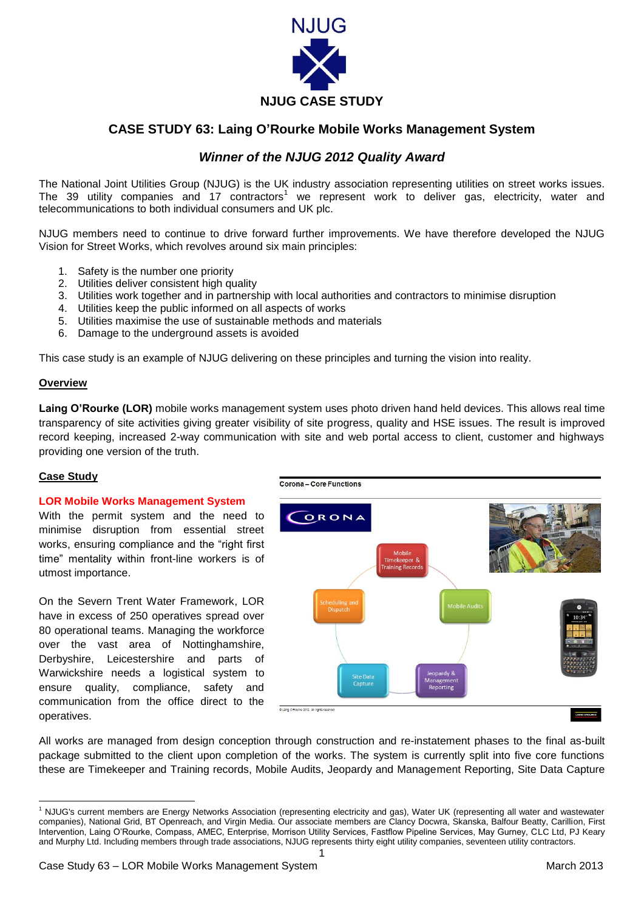

# **CASE STUDY 63: Laing O'Rourke Mobile Works Management System**

# *Winner of the NJUG 2012 Quality Award*

The National Joint Utilities Group (NJUG) is the UK industry association representing utilities on street works issues. The 39 utility companies and 17 contractors<sup>1</sup> we represent work to deliver gas, electricity, water and telecommunications to both individual consumers and UK plc.

NJUG members need to continue to drive forward further improvements. We have therefore developed the NJUG Vision for Street Works, which revolves around six main principles:

- 1. Safety is the number one priority
- 2. Utilities deliver consistent high quality
- 3. Utilities work together and in partnership with local authorities and contractors to minimise disruption
- 4. Utilities keep the public informed on all aspects of works
- 5. Utilities maximise the use of sustainable methods and materials
- 6. Damage to the underground assets is avoided

This case study is an example of NJUG delivering on these principles and turning the vision into reality.

### **Overview**

**Laing O'Rourke (LOR)** mobile works management system uses photo driven hand held devices. This allows real time transparency of site activities giving greater visibility of site progress, quality and HSE issues. The result is improved record keeping, increased 2-way communication with site and web portal access to client, customer and highways providing one version of the truth.

## **Case Study**

**.** 

## **LOR Mobile Works Management System**

With the permit system and the need to minimise disruption from essential street works, ensuring compliance and the "right first time" mentality within front-line workers is of utmost importance.

On the Severn Trent Water Framework, LOR have in excess of 250 operatives spread over 80 operational teams. Managing the workforce over the vast area of Nottinghamshire, Derbyshire, Leicestershire and parts of Warwickshire needs a logistical system to ensure quality, compliance, safety and communication from the office direct to the operatives.



All works are managed from design conception through construction and re-instatement phases to the final as-built package submitted to the client upon completion of the works. The system is currently split into five core functions these are Timekeeper and Training records, Mobile Audits, Jeopardy and Management Reporting, Site Data Capture

1

<sup>&</sup>lt;sup>1</sup> NJUG's current members are Energy Networks Association (representing electricity and gas), Water UK (representing all water and wastewater companies), National Grid, BT Openreach, and Virgin Media. Our associate members are Clancy Docwra, Skanska, Balfour Beatty, Carillion, First Intervention, Laing O'Rourke, Compass, AMEC, Enterprise, Morrison Utility Services, Fastflow Pipeline Services, May Gurney, CLC Ltd, PJ Keary and Murphy Ltd. Including members through trade associations, NJUG represents thirty eight utility companies, seventeen utility contractors.